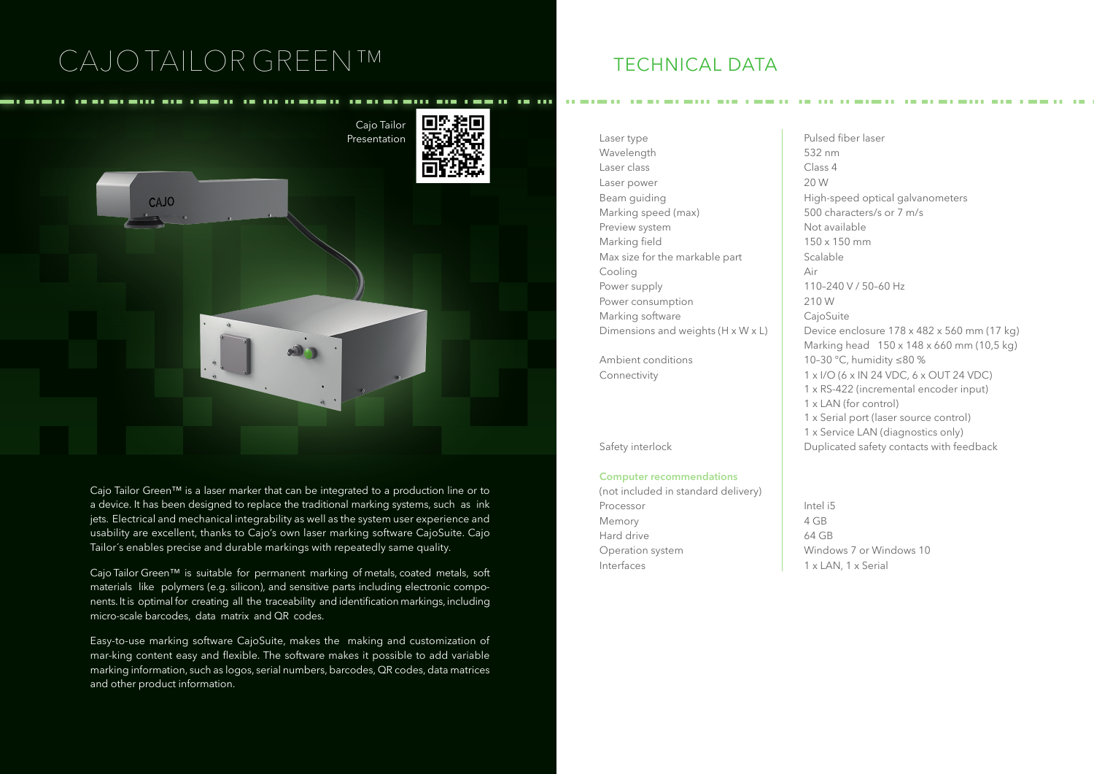# CAJO TAILOR GREEN™ TECHNICAL DATA



Cajo Tailor Green™ is a laser marker that can be integrated to a production line or to a device. It has been designed to replace the traditional marking systems, such as ink jets. Electrical and mechanical integrability as well as the system user experience and usability are excellent, thanks to Cajo's own laser marking software CajoSuite. Cajo Tailor´s enables precise and durable markings with repeatedly same quality.

Cajo Tailor Green™ is suitable for permanent marking of metals, coated metals, soft materials like polymers (e.g. silicon), and sensitive parts including electronic components. It is optimal for creating all the traceability and identification markings, including micro-scale barcodes, data matrix and QR codes.

Easy-to-use marking software CajoSuite, makes the making and customization of mar-king content easy and flexible. The software makes it possible to add variable marking information, such as logos, serial numbers, barcodes, QR codes, data matrices and other product information.

Wavelength 532 nm Laser class Class 4 Laser power 20 W Marking speed (max) 500 characters/s or 7 m/s Preview system Not available Marking field 150 x 150 mm Max size for the markable part  $\Box$  Scalable Cooling Air Power supply 110–240 V / 50–60 Hz Power consumption 210 W Marking software CajoSuite

## **Computer recommendations**

(not included in standard delivery) Processor and Intel is Memory 4 GB Hard drive 64 GB Operation system Windows 7 or Windows 10 Interfaces  $\vert$  1 x LAN, 1 x Serial

Beam quiding **High-speed optical galvanometers** Dimensions and weights  $(H \times W \times L)$  Device enclosure 178 x 482 x 560 mm (17 kg) Marking head 150 x 148 x 660 mm (10,5 kg) Ambient conditions 10–30 °C, humidity ≤80 % Connectivity  $1 \times I/O$  (6 x IN 24 VDC, 6 x OUT 24 VDC) 1 x RS-422 (incremental encoder input) 1 x LAN (for control) 1 x Serial port (laser source control) 1 x Service LAN (diagnostics only) Safety interlock Duplicated safety contacts with feedback